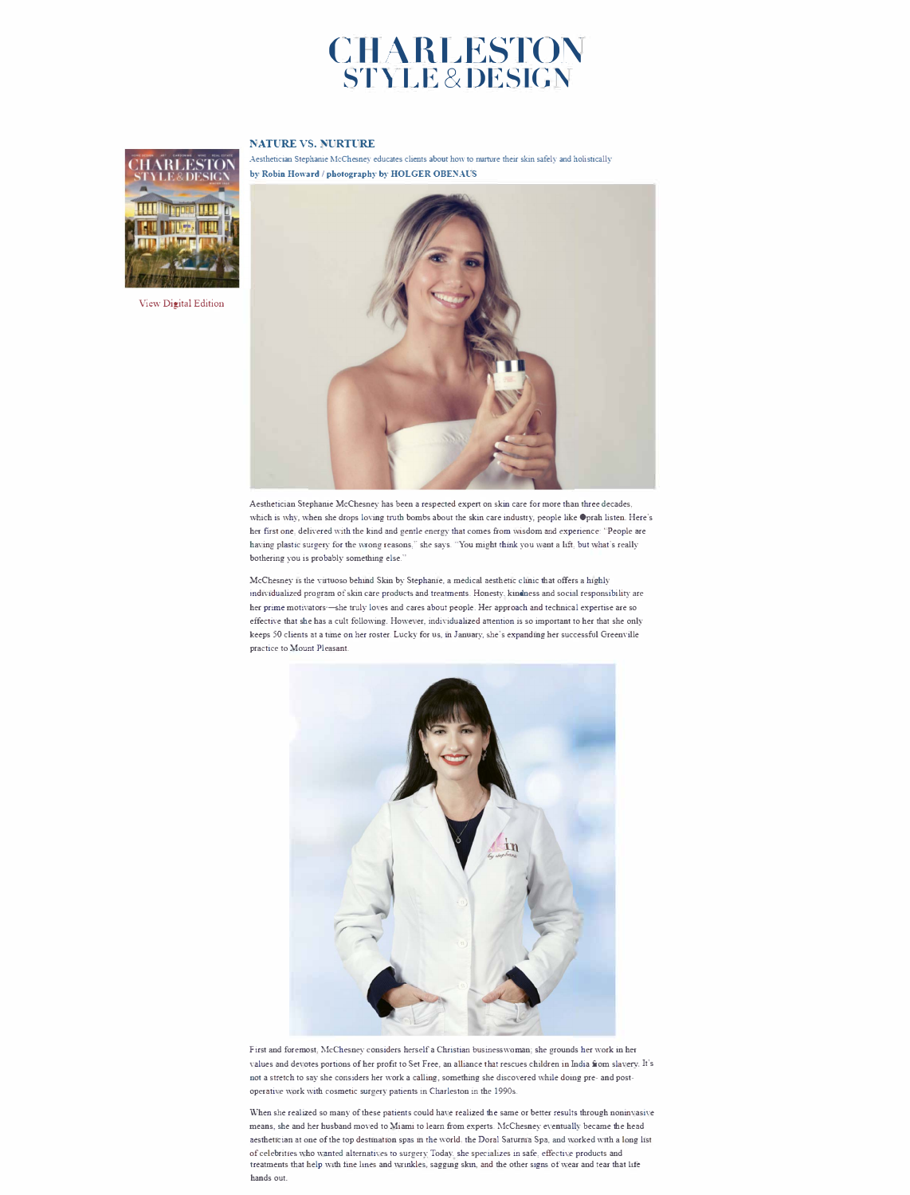## **CIIARLESTON S'rYL E & DESIGN**

## **l\"ATURE VS. '.\'URTURE**



[View Digital Edition](https://charlestonstyleanddesign.com/nature-vs-nurture/?fbclid=IwAR3D__vYMzGobDVSelZ6LPap7Cd6Xt8u0Fe8SIhf00-K-FZ7zaxTk91_l7Q) 

Aesthetician Stephanie McChesney educates clients about how to nurture their skin safely and holistically by Robin Howard / photography by HOLGER OBENAUS



Aesthetician Stephanie McChesney has been a respected expert on skin care for more than three decades, which is why, when she drops loving truth bombs about the skin care industry, people like Oprah listen. Here's her first one, delivered with the kind and gentle energy that comes from wisdom and experience: "People are having plastic surgery for the wrong reasons," she says. "You might think you want a lift, but what's really bothering you is probably something else.

McChesney is the virtuoso behind Skin by Stephanie, a medical aesthetic clinic that offers a highly individualized program of skin care products and treatments. Honesty, kindness and social responsibility are her prime motivators-she truly loves and cares about people. Her approach and technical expertise are so effective that she has a cult following. However, individualized attention is so important to her that she only keeps 50 clients at a time on her roster. Lucky for us, in January, she's expanding her successful Greenville practice to Mount Pleasant.



First and foremost, McChesney considers herself a Christian businesswoman; she grounds her work in her values and devotes portions of her profit to Set Free, an alliance that rescues children in India from slavery. It's not a stretch to say she considers her work a calling, something she discovered while doing pre- and postoperative work with cosmetic surgery patients in Charleston in the 1990s.

When she realized so many of these patients could have realized the same or better results through noninvasive means, she and her husband moved to Miami to learn from experts. McChesney eventually became the head aesthetician at one of the top destination spas in the world, the Doral Saturnia Spa, and worked with a long list of celebrities who wanted alternatives to surgery. Today, she specializes in safe, effective products and treatments that help with tine lines and wrinkles, sagging skm, and the other signs of wear and tear that life hands out.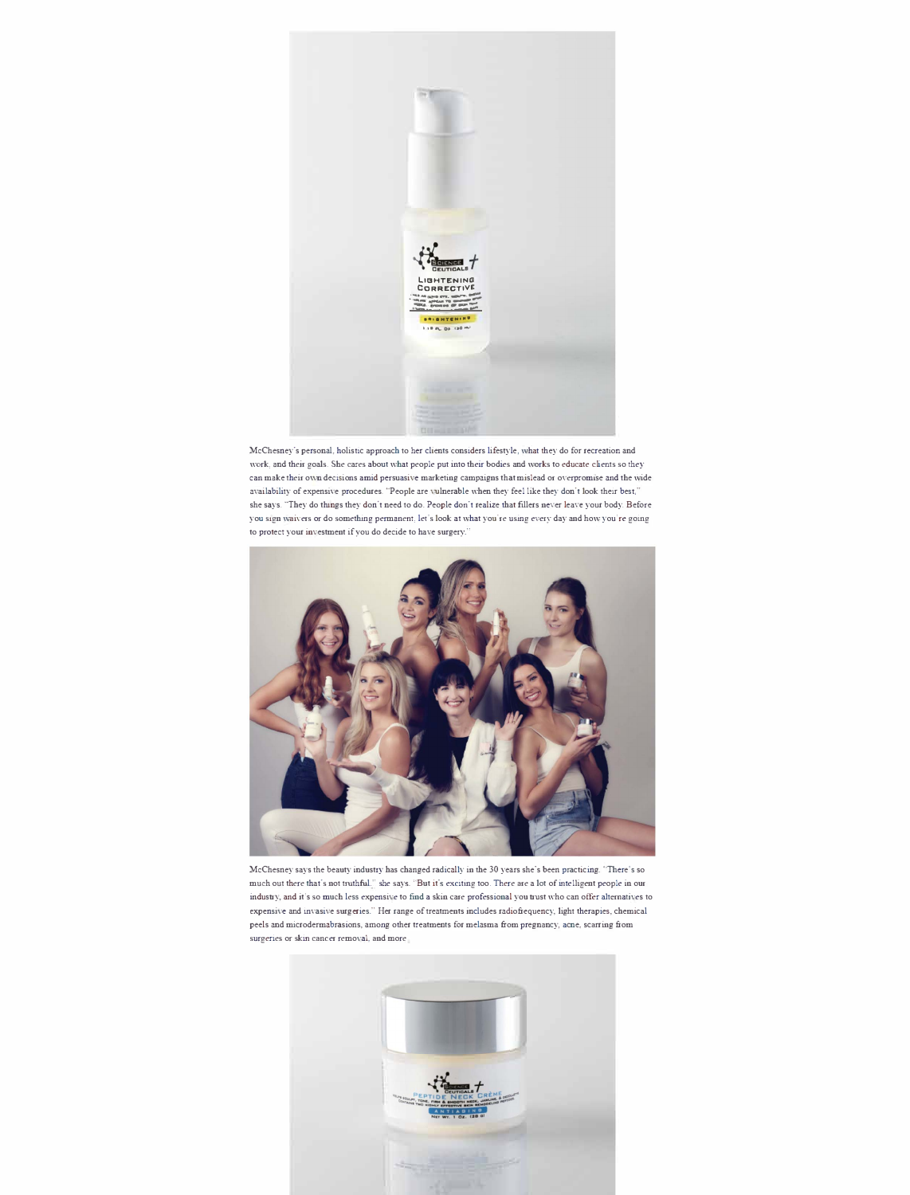

McChesney's personal, holistic approach to her clients considers lifestyle , what they do for recreation and work, and their goals. She cares about what people put into their bodies and works to educate clients so they can make their own decisions amid persuasive marketing campaigns that mislead or overpromise and the wide availability of expensive procedures. "People are vulnerable when they feel like they don't look their best," she says. "They do things they don't need to do. People don't realize that fillers never leave your body. Before you sign waivers or do something permanent, let's look at what you're using every day and how you're going to protect your investment if you do decide to have surgery."



McChesney says the beauty industry has changed radically in the 30 years she's been practicing. 'There's so much out there that's not truthful," she says. "But it's exciting too. There are a lot of intelligent people in our industry, and it's so much less expensive to find a skin care professional you trust who can offer alternatives to expensive and invasive surgeries." Her range of treatments includes radiofrequency, light therapies, chemical peels and microdermabrasions, among other treatments for melasma from pregnancy, acne, scarring from surgeries or skin cancer removal, and more